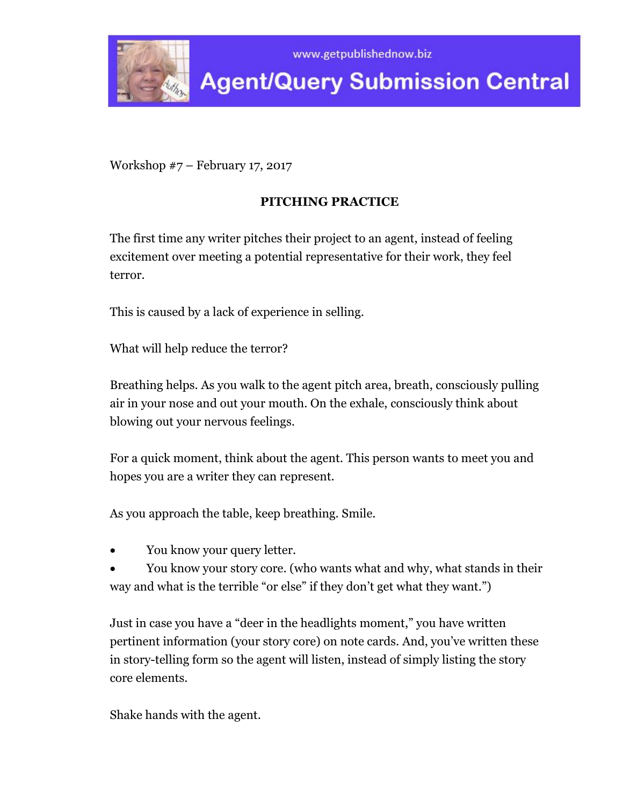

**Agent/Query Submission Central** 

Workshop #7 – February 17, 2017

# **PITCHING PRACTICE**

The first time any writer pitches their project to an agent, instead of feeling excitement over meeting a potential representative for their work, they feel terror.

This is caused by a lack of experience in selling.

What will help reduce the terror?

Breathing helps. As you walk to the agent pitch area, breath, consciously pulling air in your nose and out your mouth. On the exhale, consciously think about blowing out your nervous feelings.

For a quick moment, think about the agent. This person wants to meet you and hopes you are a writer they can represent.

As you approach the table, keep breathing. Smile.

- You know your query letter.
- You know your story core. (who wants what and why, what stands in their way and what is the terrible "or else" if they don't get what they want.")

Just in case you have a "deer in the headlights moment," you have written pertinent information (your story core) on note cards. And, you've written these in story-telling form so the agent will listen, instead of simply listing the story core elements.

Shake hands with the agent.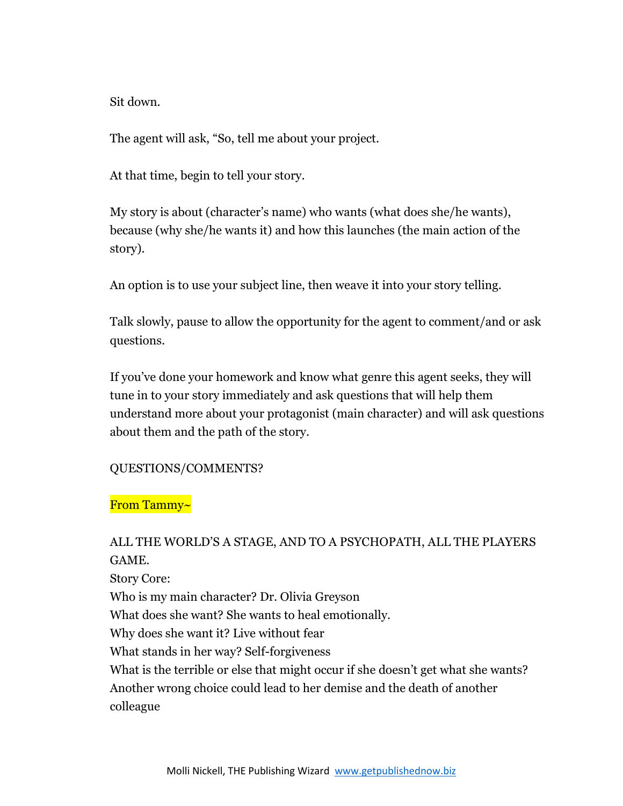Sit down.

The agent will ask, "So, tell me about your project.

At that time, begin to tell your story.

My story is about (character's name) who wants (what does she/he wants), because (why she/he wants it) and how this launches (the main action of the story).

An option is to use your subject line, then weave it into your story telling.

Talk slowly, pause to allow the opportunity for the agent to comment/and or ask questions.

If you've done your homework and know what genre this agent seeks, they will tune in to your story immediately and ask questions that will help them understand more about your protagonist (main character) and will ask questions about them and the path of the story.

# QUESTIONS/COMMENTS?

## From Tammy~

# ALL THE WORLD'S A STAGE, AND TO A PSYCHOPATH, ALL THE PLAYERS GAME.

Story Core:

Who is my main character? Dr. Olivia Greyson

What does she want? She wants to heal emotionally.

Why does she want it? Live without fear

What stands in her way? Self-forgiveness

What is the terrible or else that might occur if she doesn't get what she wants? Another wrong choice could lead to her demise and the death of another colleague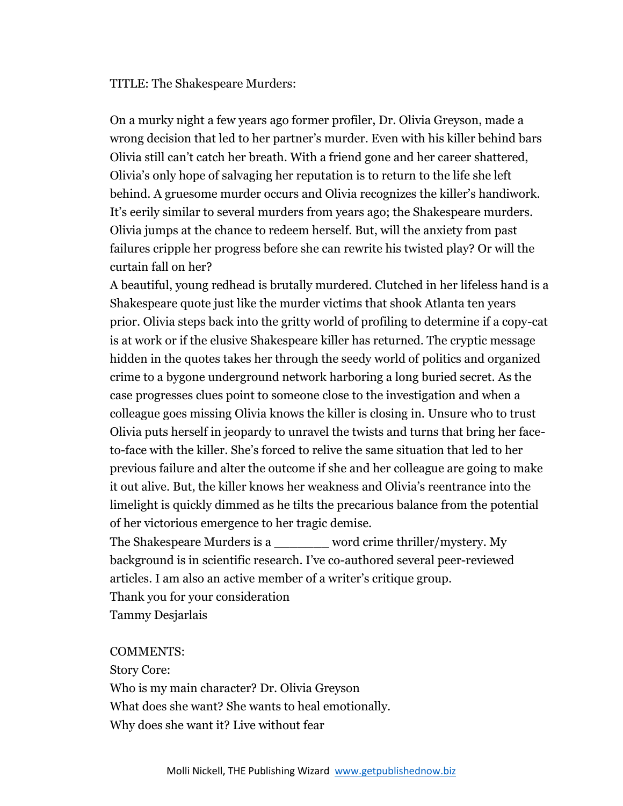TITLE: The Shakespeare Murders:

On a murky night a few years ago former profiler, Dr. Olivia Greyson, made a wrong decision that led to her partner's murder. Even with his killer behind bars Olivia still can't catch her breath. With a friend gone and her career shattered, Olivia's only hope of salvaging her reputation is to return to the life she left behind. A gruesome murder occurs and Olivia recognizes the killer's handiwork. It's eerily similar to several murders from years ago; the Shakespeare murders. Olivia jumps at the chance to redeem herself. But, will the anxiety from past failures cripple her progress before she can rewrite his twisted play? Or will the curtain fall on her?

A beautiful, young redhead is brutally murdered. Clutched in her lifeless hand is a Shakespeare quote just like the murder victims that shook Atlanta ten years prior. Olivia steps back into the gritty world of profiling to determine if a copy-cat is at work or if the elusive Shakespeare killer has returned. The cryptic message hidden in the quotes takes her through the seedy world of politics and organized crime to a bygone underground network harboring a long buried secret. As the case progresses clues point to someone close to the investigation and when a colleague goes missing Olivia knows the killer is closing in. Unsure who to trust Olivia puts herself in jeopardy to unravel the twists and turns that bring her faceto-face with the killer. She's forced to relive the same situation that led to her previous failure and alter the outcome if she and her colleague are going to make it out alive. But, the killer knows her weakness and Olivia's reentrance into the limelight is quickly dimmed as he tilts the precarious balance from the potential of her victorious emergence to her tragic demise.

The Shakespeare Murders is a \_\_\_\_\_\_\_ word crime thriller/mystery. My background is in scientific research. I've co-authored several peer-reviewed articles. I am also an active member of a writer's critique group. Thank you for your consideration Tammy Desjarlais

#### COMMENTS:

Story Core:

Who is my main character? Dr. Olivia Greyson What does she want? She wants to heal emotionally. Why does she want it? Live without fear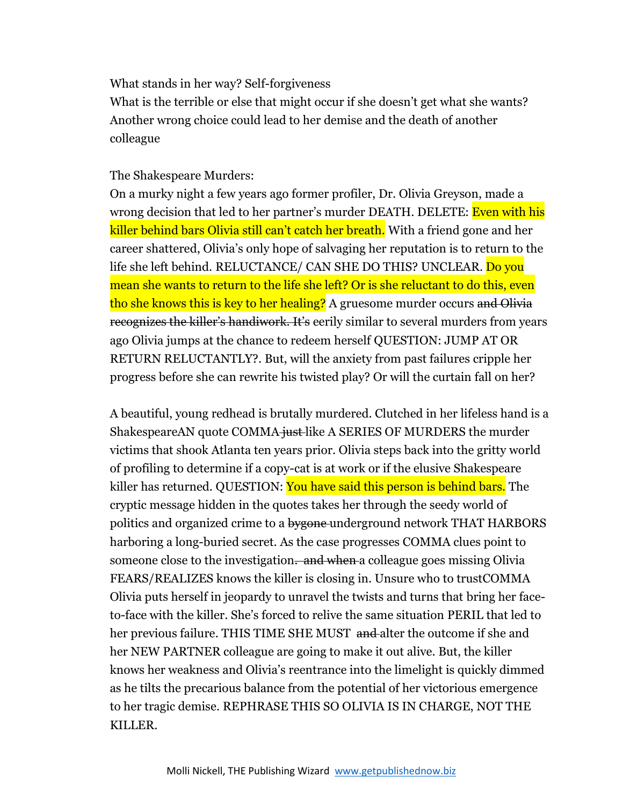What stands in her way? Self-forgiveness

What is the terrible or else that might occur if she doesn't get what she wants? Another wrong choice could lead to her demise and the death of another colleague

### The Shakespeare Murders:

On a murky night a few years ago former profiler, Dr. Olivia Greyson, made a wrong decision that led to her partner's murder DEATH. DELETE: Even with his killer behind bars Olivia still can't catch her breath. With a friend gone and her career shattered, Olivia's only hope of salvaging her reputation is to return to the life she left behind. RELUCTANCE/ CAN SHE DO THIS? UNCLEAR. Do you mean she wants to return to the life she left? Or is she reluctant to do this, even tho she knows this is key to her healing? A gruesome murder occurs and Olivia recognizes the killer's handiwork. It's eerily similar to several murders from years ago Olivia jumps at the chance to redeem herself QUESTION: JUMP AT OR RETURN RELUCTANTLY?. But, will the anxiety from past failures cripple her progress before she can rewrite his twisted play? Or will the curtain fall on her?

A beautiful, young redhead is brutally murdered. Clutched in her lifeless hand is a ShakespeareAN quote COMMA just like A SERIES OF MURDERS the murder victims that shook Atlanta ten years prior. Olivia steps back into the gritty world of profiling to determine if a copy-cat is at work or if the elusive Shakespeare killer has returned. QUESTION: You have said this person is behind bars. The cryptic message hidden in the quotes takes her through the seedy world of politics and organized crime to a bygone-underground network THAT HARBORS harboring a long-buried secret. As the case progresses COMMA clues point to someone close to the investigation. and when a colleague goes missing Olivia FEARS/REALIZES knows the killer is closing in. Unsure who to trustCOMMA Olivia puts herself in jeopardy to unravel the twists and turns that bring her faceto-face with the killer. She's forced to relive the same situation PERIL that led to her previous failure. THIS TIME SHE MUST and alter the outcome if she and her NEW PARTNER colleague are going to make it out alive. But, the killer knows her weakness and Olivia's reentrance into the limelight is quickly dimmed as he tilts the precarious balance from the potential of her victorious emergence to her tragic demise. REPHRASE THIS SO OLIVIA IS IN CHARGE, NOT THE KILLER.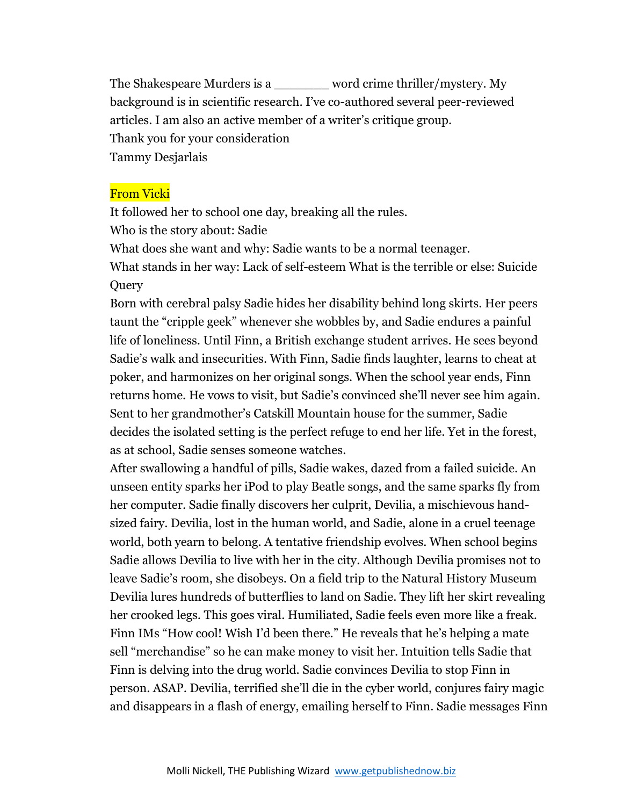The Shakespeare Murders is a \_\_\_\_\_\_\_ word crime thriller/mystery. My background is in scientific research. I've co-authored several peer-reviewed articles. I am also an active member of a writer's critique group. Thank you for your consideration Tammy Desjarlais

## From Vicki

It followed her to school one day, breaking all the rules. Who is the story about: Sadie

What does she want and why: Sadie wants to be a normal teenager.

What stands in her way: Lack of self-esteem What is the terrible or else: Suicide **Query** 

Born with cerebral palsy Sadie hides her disability behind long skirts. Her peers taunt the "cripple geek" whenever she wobbles by, and Sadie endures a painful life of loneliness. Until Finn, a British exchange student arrives. He sees beyond Sadie's walk and insecurities. With Finn, Sadie finds laughter, learns to cheat at poker, and harmonizes on her original songs. When the school year ends, Finn returns home. He vows to visit, but Sadie's convinced she'll never see him again. Sent to her grandmother's Catskill Mountain house for the summer, Sadie decides the isolated setting is the perfect refuge to end her life. Yet in the forest, as at school, Sadie senses someone watches.

After swallowing a handful of pills, Sadie wakes, dazed from a failed suicide. An unseen entity sparks her iPod to play Beatle songs, and the same sparks fly from her computer. Sadie finally discovers her culprit, Devilia, a mischievous handsized fairy. Devilia, lost in the human world, and Sadie, alone in a cruel teenage world, both yearn to belong. A tentative friendship evolves. When school begins Sadie allows Devilia to live with her in the city. Although Devilia promises not to leave Sadie's room, she disobeys. On a field trip to the Natural History Museum Devilia lures hundreds of butterflies to land on Sadie. They lift her skirt revealing her crooked legs. This goes viral. Humiliated, Sadie feels even more like a freak. Finn IMs "How cool! Wish I'd been there." He reveals that he's helping a mate sell "merchandise" so he can make money to visit her. Intuition tells Sadie that Finn is delving into the drug world. Sadie convinces Devilia to stop Finn in person. ASAP. Devilia, terrified she'll die in the cyber world, conjures fairy magic and disappears in a flash of energy, emailing herself to Finn. Sadie messages Finn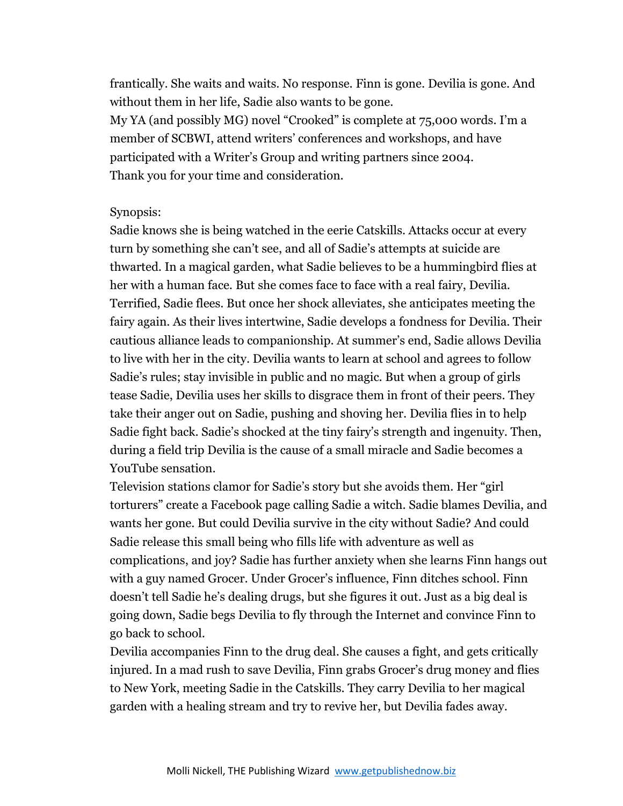frantically. She waits and waits. No response. Finn is gone. Devilia is gone. And without them in her life, Sadie also wants to be gone. My YA (and possibly MG) novel "Crooked" is complete at 75,000 words. I'm a member of SCBWI, attend writers' conferences and workshops, and have participated with a Writer's Group and writing partners since 2004. Thank you for your time and consideration.

### Synopsis:

Sadie knows she is being watched in the eerie Catskills. Attacks occur at every turn by something she can't see, and all of Sadie's attempts at suicide are thwarted. In a magical garden, what Sadie believes to be a hummingbird flies at her with a human face. But she comes face to face with a real fairy, Devilia. Terrified, Sadie flees. But once her shock alleviates, she anticipates meeting the fairy again. As their lives intertwine, Sadie develops a fondness for Devilia. Their cautious alliance leads to companionship. At summer's end, Sadie allows Devilia to live with her in the city. Devilia wants to learn at school and agrees to follow Sadie's rules; stay invisible in public and no magic. But when a group of girls tease Sadie, Devilia uses her skills to disgrace them in front of their peers. They take their anger out on Sadie, pushing and shoving her. Devilia flies in to help Sadie fight back. Sadie's shocked at the tiny fairy's strength and ingenuity. Then, during a field trip Devilia is the cause of a small miracle and Sadie becomes a YouTube sensation.

Television stations clamor for Sadie's story but she avoids them. Her "girl torturers" create a Facebook page calling Sadie a witch. Sadie blames Devilia, and wants her gone. But could Devilia survive in the city without Sadie? And could Sadie release this small being who fills life with adventure as well as complications, and joy? Sadie has further anxiety when she learns Finn hangs out with a guy named Grocer. Under Grocer's influence, Finn ditches school. Finn doesn't tell Sadie he's dealing drugs, but she figures it out. Just as a big deal is going down, Sadie begs Devilia to fly through the Internet and convince Finn to go back to school.

Devilia accompanies Finn to the drug deal. She causes a fight, and gets critically injured. In a mad rush to save Devilia, Finn grabs Grocer's drug money and flies to New York, meeting Sadie in the Catskills. They carry Devilia to her magical garden with a healing stream and try to revive her, but Devilia fades away.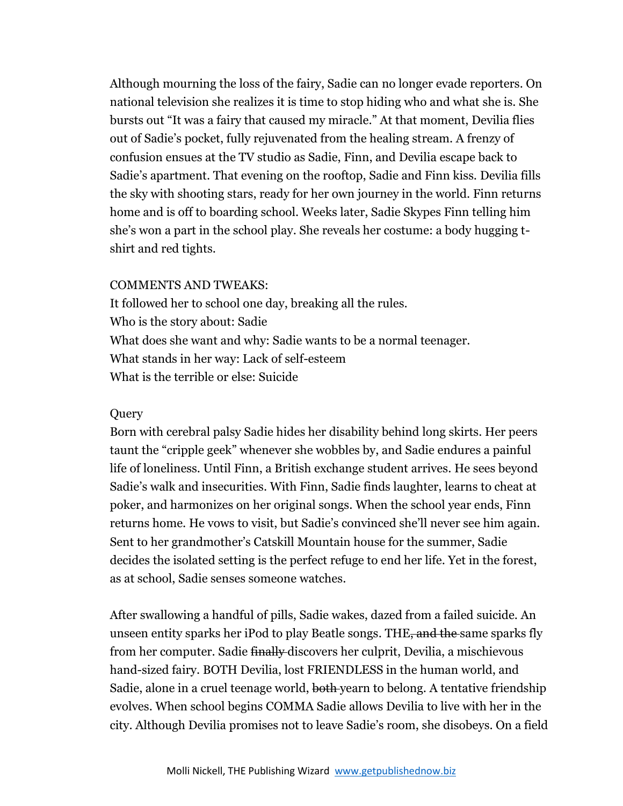Although mourning the loss of the fairy, Sadie can no longer evade reporters. On national television she realizes it is time to stop hiding who and what she is. She bursts out "It was a fairy that caused my miracle." At that moment, Devilia flies out of Sadie's pocket, fully rejuvenated from the healing stream. A frenzy of confusion ensues at the TV studio as Sadie, Finn, and Devilia escape back to Sadie's apartment. That evening on the rooftop, Sadie and Finn kiss. Devilia fills the sky with shooting stars, ready for her own journey in the world. Finn returns home and is off to boarding school. Weeks later, Sadie Skypes Finn telling him she's won a part in the school play. She reveals her costume: a body hugging tshirt and red tights.

#### COMMENTS AND TWEAKS:

It followed her to school one day, breaking all the rules. Who is the story about: Sadie What does she want and why: Sadie wants to be a normal teenager. What stands in her way: Lack of self-esteem What is the terrible or else: Suicide

#### **Query**

Born with cerebral palsy Sadie hides her disability behind long skirts. Her peers taunt the "cripple geek" whenever she wobbles by, and Sadie endures a painful life of loneliness. Until Finn, a British exchange student arrives. He sees beyond Sadie's walk and insecurities. With Finn, Sadie finds laughter, learns to cheat at poker, and harmonizes on her original songs. When the school year ends, Finn returns home. He vows to visit, but Sadie's convinced she'll never see him again. Sent to her grandmother's Catskill Mountain house for the summer, Sadie decides the isolated setting is the perfect refuge to end her life. Yet in the forest, as at school, Sadie senses someone watches.

After swallowing a handful of pills, Sadie wakes, dazed from a failed suicide. An unseen entity sparks her iPod to play Beatle songs. THE, and the same sparks fly from her computer. Sadie finally discovers her culprit, Devilia, a mischievous hand-sized fairy. BOTH Devilia, lost FRIENDLESS in the human world, and Sadie, alone in a cruel teenage world, both yearn to belong. A tentative friendship evolves. When school begins COMMA Sadie allows Devilia to live with her in the city. Although Devilia promises not to leave Sadie's room, she disobeys. On a field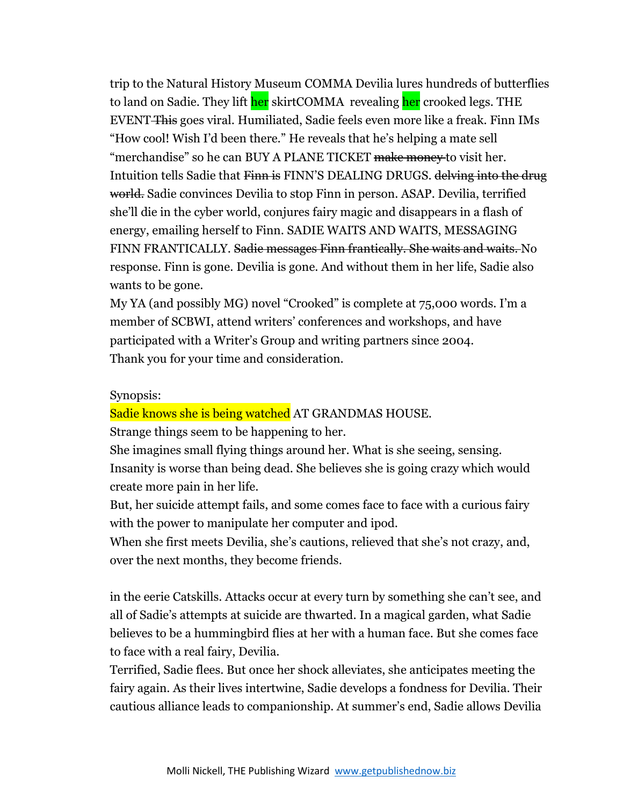trip to the Natural History Museum COMMA Devilia lures hundreds of butterflies to land on Sadie. They lift her skirtCOMMA revealing her crooked legs. THE EVENT This goes viral. Humiliated, Sadie feels even more like a freak. Finn IMs "How cool! Wish I'd been there." He reveals that he's helping a mate sell "merchandise" so he can BUY A PLANE TICKET make money to visit her. Intuition tells Sadie that Finn is FINN'S DEALING DRUGS. delving into the drug world. Sadie convinces Devilia to stop Finn in person. ASAP. Devilia, terrified she'll die in the cyber world, conjures fairy magic and disappears in a flash of energy, emailing herself to Finn. SADIE WAITS AND WAITS, MESSAGING FINN FRANTICALLY. Sadie messages Finn frantically. She waits and waits. No response. Finn is gone. Devilia is gone. And without them in her life, Sadie also wants to be gone.

My YA (and possibly MG) novel "Crooked" is complete at 75,000 words. I'm a member of SCBWI, attend writers' conferences and workshops, and have participated with a Writer's Group and writing partners since 2004. Thank you for your time and consideration.

#### Synopsis:

Sadie knows she is being watched AT GRANDMAS HOUSE.

Strange things seem to be happening to her.

She imagines small flying things around her. What is she seeing, sensing. Insanity is worse than being dead. She believes she is going crazy which would create more pain in her life.

But, her suicide attempt fails, and some comes face to face with a curious fairy with the power to manipulate her computer and ipod.

When she first meets Devilia, she's cautions, relieved that she's not crazy, and, over the next months, they become friends.

in the eerie Catskills. Attacks occur at every turn by something she can't see, and all of Sadie's attempts at suicide are thwarted. In a magical garden, what Sadie believes to be a hummingbird flies at her with a human face. But she comes face to face with a real fairy, Devilia.

Terrified, Sadie flees. But once her shock alleviates, she anticipates meeting the fairy again. As their lives intertwine, Sadie develops a fondness for Devilia. Their cautious alliance leads to companionship. At summer's end, Sadie allows Devilia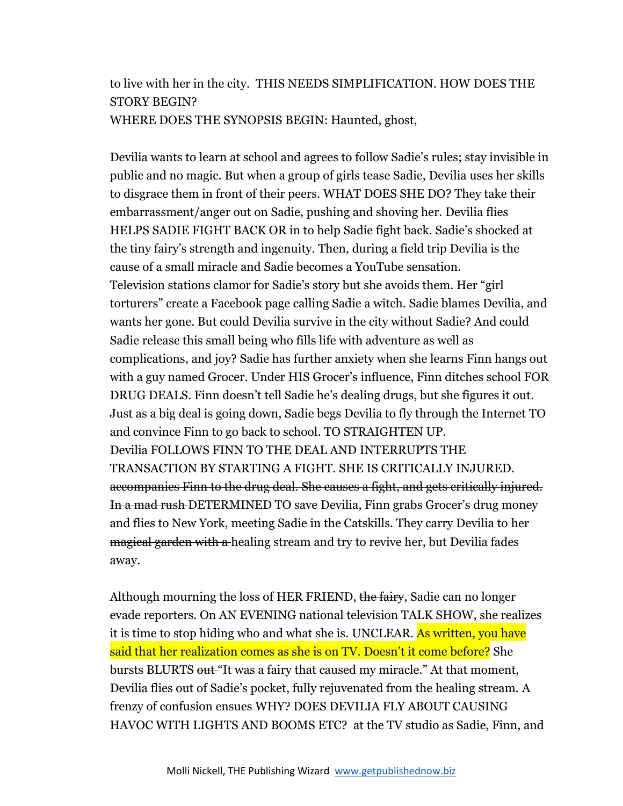# to live with her in the city. THIS NEEDS SIMPLIFICATION. HOW DOES THE STORY BEGIN? WHERE DOES THE SYNOPSIS BEGIN: Haunted, ghost,

Devilia wants to learn at school and agrees to follow Sadie's rules; stay invisible in public and no magic. But when a group of girls tease Sadie, Devilia uses her skills to disgrace them in front of their peers. WHAT DOES SHE DO? They take their embarrassment/anger out on Sadie, pushing and shoving her. Devilia flies HELPS SADIE FIGHT BACK OR in to help Sadie fight back. Sadie's shocked at the tiny fairy's strength and ingenuity. Then, during a field trip Devilia is the cause of a small miracle and Sadie becomes a YouTube sensation. Television stations clamor for Sadie's story but she avoids them. Her "girl torturers" create a Facebook page calling Sadie a witch. Sadie blames Devilia, and wants her gone. But could Devilia survive in the city without Sadie? And could Sadie release this small being who fills life with adventure as well as complications, and joy? Sadie has further anxiety when she learns Finn hangs out with a guy named Grocer. Under HIS Grocer's influence, Finn ditches school FOR DRUG DEALS. Finn doesn't tell Sadie he's dealing drugs, but she figures it out. Just as a big deal is going down, Sadie begs Devilia to fly through the Internet TO and convince Finn to go back to school. TO STRAIGHTEN UP. Devilia FOLLOWS FINN TO THE DEAL AND INTERRUPTS THE TRANSACTION BY STARTING A FIGHT. SHE IS CRITICALLY INJURED. accompanies Finn to the drug deal. She causes a fight, and gets critically injured. In a mad rush DETERMINED TO save Devilia, Finn grabs Grocer's drug money and flies to New York, meeting Sadie in the Catskills. They carry Devilia to her magical garden with a healing stream and try to revive her, but Devilia fades away.

Although mourning the loss of HER FRIEND, the fairy, Sadie can no longer evade reporters. On AN EVENING national television TALK SHOW, she realizes it is time to stop hiding who and what she is. UNCLEAR. As written, you have said that her realization comes as she is on TV. Doesn't it come before? She bursts BLURTS out "It was a fairy that caused my miracle." At that moment, Devilia flies out of Sadie's pocket, fully rejuvenated from the healing stream. A frenzy of confusion ensues WHY? DOES DEVILIA FLY ABOUT CAUSING HAVOC WITH LIGHTS AND BOOMS ETC? at the TV studio as Sadie, Finn, and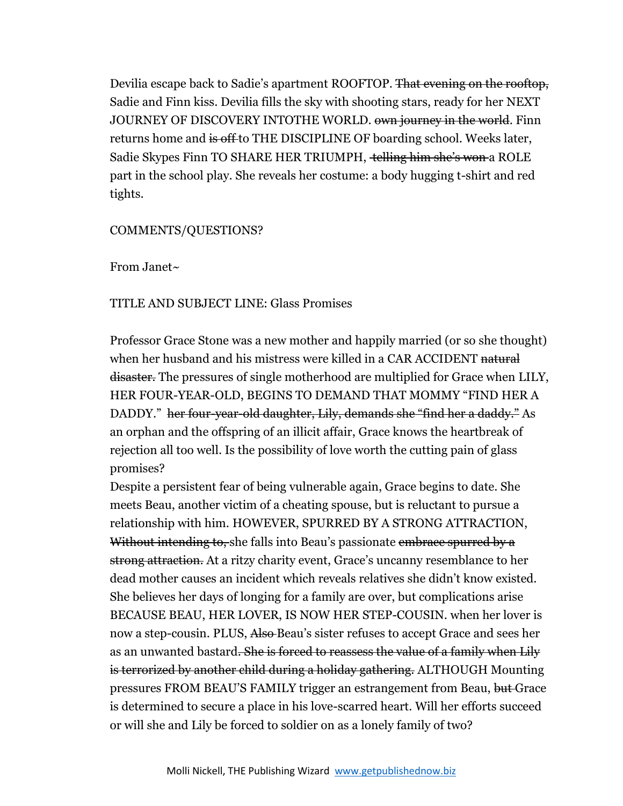Devilia escape back to Sadie's apartment ROOFTOP. That evening on the rooftop, Sadie and Finn kiss. Devilia fills the sky with shooting stars, ready for her NEXT JOURNEY OF DISCOVERY INTOTHE WORLD. <del>own journey in the world</del>. Finn returns home and is off to THE DISCIPLINE OF boarding school. Weeks later, Sadie Skypes Finn TO SHARE HER TRIUMPH, telling him she's won a ROLE part in the school play. She reveals her costume: a body hugging t-shirt and red tights.

## COMMENTS/QUESTIONS?

From Janet~

# TITLE AND SUBJECT LINE: Glass Promises

Professor Grace Stone was a new mother and happily married (or so she thought) when her husband and his mistress were killed in a CAR ACCIDENT natural disaster. The pressures of single motherhood are multiplied for Grace when LILY, HER FOUR-YEAR-OLD, BEGINS TO DEMAND THAT MOMMY "FIND HER A DADDY." her four-year-old daughter, Lily, demands she "find her a daddy." As an orphan and the offspring of an illicit affair, Grace knows the heartbreak of rejection all too well. Is the possibility of love worth the cutting pain of glass promises?

Despite a persistent fear of being vulnerable again, Grace begins to date. She meets Beau, another victim of a cheating spouse, but is reluctant to pursue a relationship with him. HOWEVER, SPURRED BY A STRONG ATTRACTION, Without intending to, she falls into Beau's passionate embrace spurred by a strong attraction. At a ritzy charity event, Grace's uncanny resemblance to her dead mother causes an incident which reveals relatives she didn't know existed. She believes her days of longing for a family are over, but complications arise BECAUSE BEAU, HER LOVER, IS NOW HER STEP-COUSIN. when her lover is now a step-cousin. PLUS, Also-Beau's sister refuses to accept Grace and sees her as an unwanted bastard<del>. She is forced to reassess the value of a family when Lily</del> is terrorized by another child during a holiday gathering. ALTHOUGH Mounting pressures FROM BEAU'S FAMILY trigger an estrangement from Beau, but Grace is determined to secure a place in his love-scarred heart. Will her efforts succeed or will she and Lily be forced to soldier on as a lonely family of two?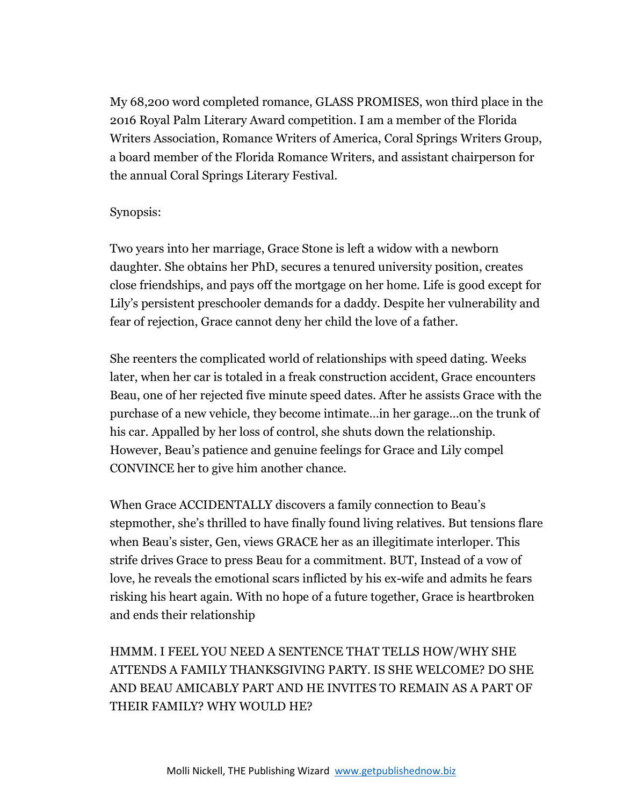My 68,200 word completed romance, GLASS PROMISES, won third place in the 2016 Royal Palm Literary Award competition. I am a member of the Florida Writers Association, Romance Writers of America, Coral Springs Writers Group, a board member of the Florida Romance Writers, and assistant chairperson for the annual Coral Springs Literary Festival.

# Synopsis:

Two years into her marriage, Grace Stone is left a widow with a newborn daughter. She obtains her PhD, secures a tenured university position, creates close friendships, and pays off the mortgage on her home. Life is good except for Lily's persistent preschooler demands for a daddy. Despite her vulnerability and fear of rejection, Grace cannot deny her child the love of a father.

She reenters the complicated world of relationships with speed dating. Weeks later, when her car is totaled in a freak construction accident, Grace encounters Beau, one of her rejected five minute speed dates. After he assists Grace with the purchase of a new vehicle, they become intimate…in her garage…on the trunk of his car. Appalled by her loss of control, she shuts down the relationship. However, Beau's patience and genuine feelings for Grace and Lily compel CONVINCE her to give him another chance.

When Grace ACCIDENTALLY discovers a family connection to Beau's stepmother, she's thrilled to have finally found living relatives. But tensions flare when Beau's sister, Gen, views GRACE her as an illegitimate interloper. This strife drives Grace to press Beau for a commitment. BUT, Instead of a vow of love, he reveals the emotional scars inflicted by his ex-wife and admits he fears risking his heart again. With no hope of a future together, Grace is heartbroken and ends their relationship

HMMM. I FEEL YOU NEED A SENTENCE THAT TELLS HOW/WHY SHE ATTENDS A FAMILY THANKSGIVING PARTY. IS SHE WELCOME? DO SHE AND BEAU AMICABLY PART AND HE INVITES TO REMAIN AS A PART OF THEIR FAMILY? WHY WOULD HE?